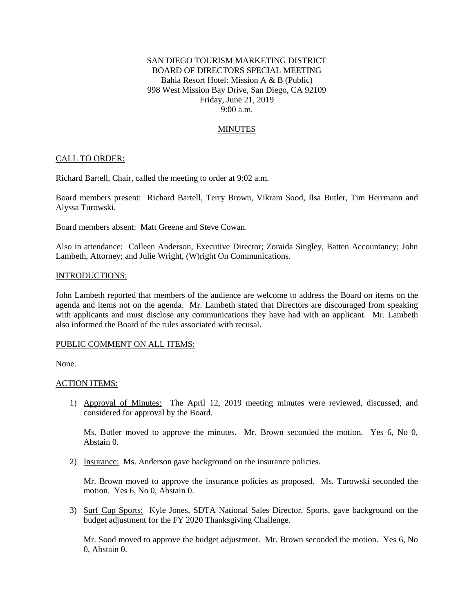# SAN DIEGO TOURISM MARKETING DISTRICT BOARD OF DIRECTORS SPECIAL MEETING Bahia Resort Hotel: Mission A & B (Public) 998 West Mission Bay Drive, San Diego, CA 92109 Friday, June 21, 2019 9:00 a.m.

# MINUTES

## CALL TO ORDER:

Richard Bartell, Chair, called the meeting to order at 9:02 a.m.

Board members present: Richard Bartell, Terry Brown, Vikram Sood, Ilsa Butler, Tim Herrmann and Alyssa Turowski.

Board members absent: Matt Greene and Steve Cowan.

Also in attendance: Colleen Anderson, Executive Director; Zoraida Singley, Batten Accountancy; John Lambeth, Attorney; and Julie Wright, (W)right On Communications.

#### INTRODUCTIONS:

John Lambeth reported that members of the audience are welcome to address the Board on items on the agenda and items not on the agenda. Mr. Lambeth stated that Directors are discouraged from speaking with applicants and must disclose any communications they have had with an applicant. Mr. Lambeth also informed the Board of the rules associated with recusal.

### PUBLIC COMMENT ON ALL ITEMS:

None.

#### ACTION ITEMS:

1) Approval of Minutes: The April 12, 2019 meeting minutes were reviewed, discussed, and considered for approval by the Board.

Ms. Butler moved to approve the minutes. Mr. Brown seconded the motion. Yes 6, No 0, Abstain 0.

2) Insurance: Ms. Anderson gave background on the insurance policies.

Mr. Brown moved to approve the insurance policies as proposed. Ms. Turowski seconded the motion. Yes 6, No 0, Abstain 0.

3) Surf Cup Sports: Kyle Jones, SDTA National Sales Director, Sports, gave background on the budget adjustment for the FY 2020 Thanksgiving Challenge.

Mr. Sood moved to approve the budget adjustment. Mr. Brown seconded the motion. Yes 6, No 0, Abstain 0.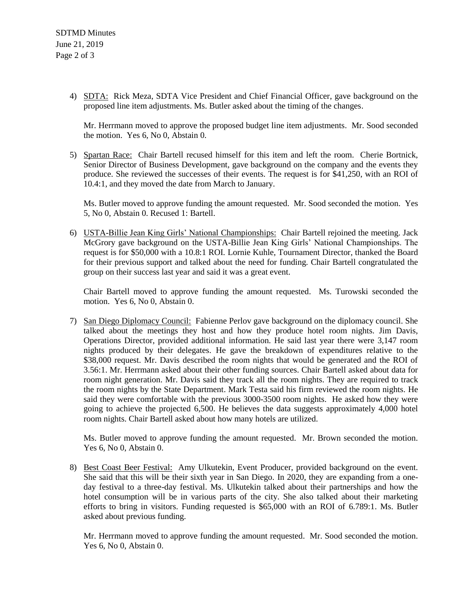4) SDTA: Rick Meza, SDTA Vice President and Chief Financial Officer, gave background on the proposed line item adjustments. Ms. Butler asked about the timing of the changes.

Mr. Herrmann moved to approve the proposed budget line item adjustments. Mr. Sood seconded the motion. Yes 6, No 0, Abstain 0.

5) Spartan Race: Chair Bartell recused himself for this item and left the room. Cherie Bortnick, Senior Director of Business Development, gave background on the company and the events they produce. She reviewed the successes of their events. The request is for \$41,250, with an ROI of 10.4:1, and they moved the date from March to January.

Ms. Butler moved to approve funding the amount requested. Mr. Sood seconded the motion. Yes 5, No 0, Abstain 0. Recused 1: Bartell.

6) USTA-Billie Jean King Girls' National Championships: Chair Bartell rejoined the meeting. Jack McGrory gave background on the USTA-Billie Jean King Girls' National Championships. The request is for \$50,000 with a 10.8:1 ROI. Lornie Kuhle, Tournament Director, thanked the Board for their previous support and talked about the need for funding. Chair Bartell congratulated the group on their success last year and said it was a great event.

Chair Bartell moved to approve funding the amount requested. Ms. Turowski seconded the motion. Yes 6, No 0, Abstain 0.

7) San Diego Diplomacy Council: Fabienne Perlov gave background on the diplomacy council. She talked about the meetings they host and how they produce hotel room nights. Jim Davis, Operations Director, provided additional information. He said last year there were 3,147 room nights produced by their delegates. He gave the breakdown of expenditures relative to the \$38,000 request. Mr. Davis described the room nights that would be generated and the ROI of 3.56:1. Mr. Herrmann asked about their other funding sources. Chair Bartell asked about data for room night generation. Mr. Davis said they track all the room nights. They are required to track the room nights by the State Department. Mark Testa said his firm reviewed the room nights. He said they were comfortable with the previous 3000-3500 room nights. He asked how they were going to achieve the projected 6,500. He believes the data suggests approximately 4,000 hotel room nights. Chair Bartell asked about how many hotels are utilized.

Ms. Butler moved to approve funding the amount requested. Mr. Brown seconded the motion. Yes 6, No 0, Abstain 0.

8) Best Coast Beer Festival: Amy Ulkutekin, Event Producer, provided background on the event. She said that this will be their sixth year in San Diego. In 2020, they are expanding from a oneday festival to a three-day festival. Ms. Ulkutekin talked about their partnerships and how the hotel consumption will be in various parts of the city. She also talked about their marketing efforts to bring in visitors. Funding requested is \$65,000 with an ROI of 6.789:1. Ms. Butler asked about previous funding.

Mr. Herrmann moved to approve funding the amount requested. Mr. Sood seconded the motion. Yes 6, No 0, Abstain 0.